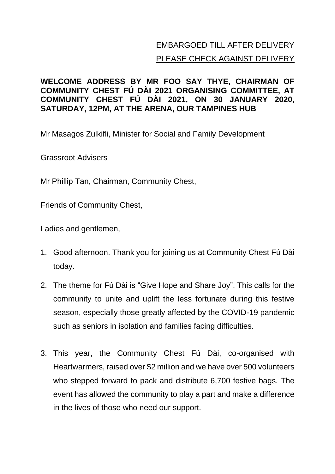## EMBARGOED TILL AFTER DELIVERY PLEASE CHECK AGAINST DELIVERY

## **WELCOME ADDRESS BY MR FOO SAY THYE, CHAIRMAN OF COMMUNITY CHEST FÚ DÀI 2021 ORGANISING COMMITTEE, AT COMMUNITY CHEST FÚ DÀI 2021, ON 30 JANUARY 2020, SATURDAY, 12PM, AT THE ARENA, OUR TAMPINES HUB**

Mr Masagos Zulkifli, Minister for Social and Family Development

Grassroot Advisers

Mr Phillip Tan, Chairman, Community Chest,

Friends of Community Chest,

Ladies and gentlemen,

- 1. Good afternoon. Thank you for joining us at Community Chest Fú Dài today.
- 2. The theme for Fú Dài is "Give Hope and Share Joy". This calls for the community to unite and uplift the less fortunate during this festive season, especially those greatly affected by the COVID-19 pandemic such as seniors in isolation and families facing difficulties.
- 3. This year, the Community Chest Fú Dài, co-organised with Heartwarmers, raised over \$2 million and we have over 500 volunteers who stepped forward to pack and distribute 6,700 festive bags. The event has allowed the community to play a part and make a difference in the lives of those who need our support.